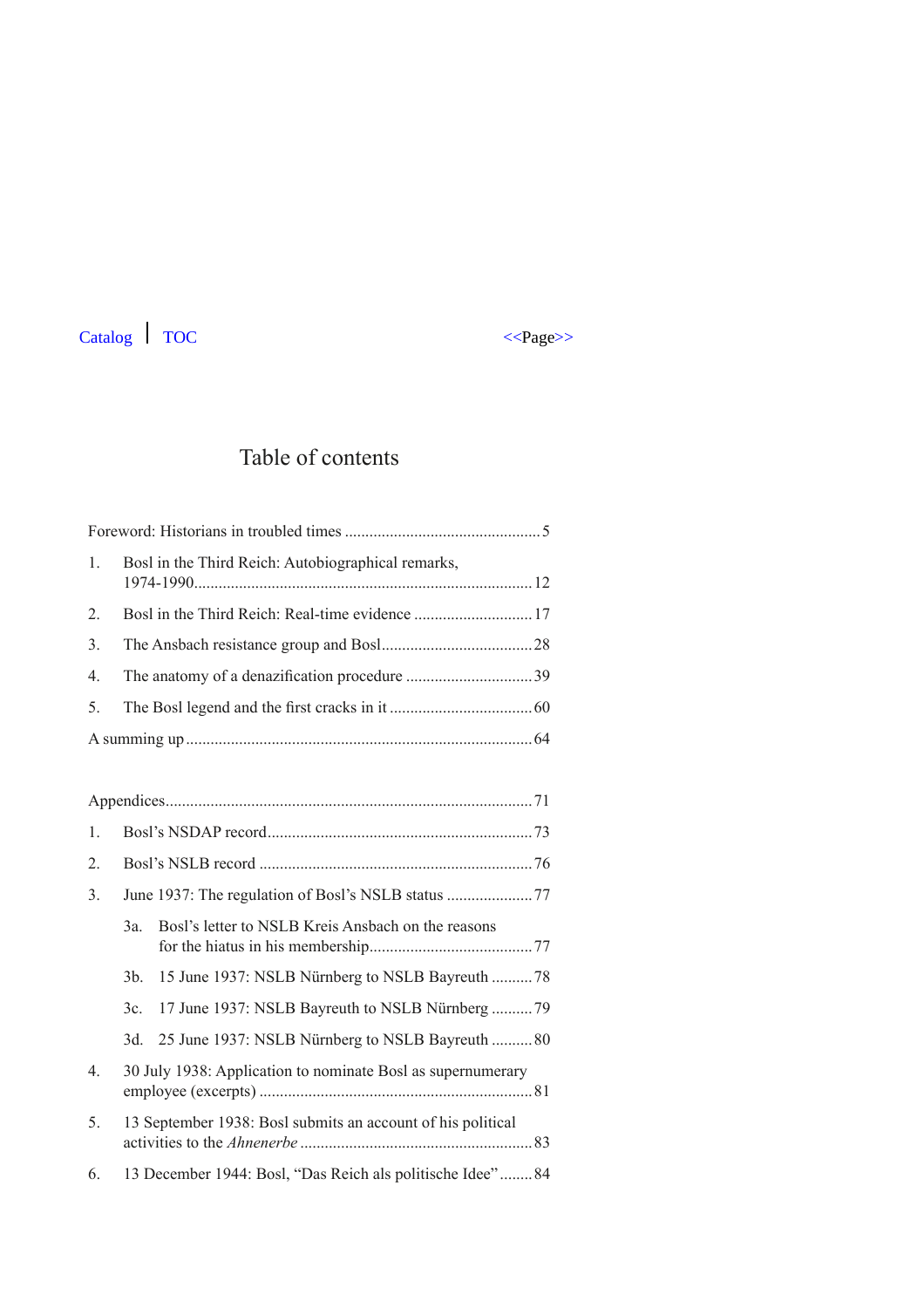# Catalog 7OC <<ra>
</br/>  $\leq$  2008 <<br/>  $\leq$  2008 <<<br/>  $\leq$  2008  $\leq$  2008  $\leq$  2008  $\leq$  2008  $\leq$  2008<br/> 2008  $\leq$  2008  $\leq$  2008  $\leq$  2008  $\leq$  2008  $\leq$  2008  $\leq$  2008  $\leq$  2008  $\leq$  2008  $\leq$  2



## Table of contents

|  | 1. Bosl in the Third Reich: Autobiographical remarks, |  |
|--|-------------------------------------------------------|--|
|  |                                                       |  |
|  |                                                       |  |
|  |                                                       |  |
|  |                                                       |  |
|  |                                                       |  |
|  |                                                       |  |

| 1. |                                                             |                                                    |  |
|----|-------------------------------------------------------------|----------------------------------------------------|--|
| 2. |                                                             |                                                    |  |
| 3. |                                                             |                                                    |  |
|    | 3a.                                                         | Bosl's letter to NSLB Kreis Ansbach on the reasons |  |
|    | 3 <sub>b</sub>                                              |                                                    |  |
|    | 3c.                                                         | 17 June 1937: NSLB Bayreuth to NSLB Nürnberg  79   |  |
|    | 3d.                                                         | 25 June 1937: NSLB Nürnberg to NSLB Bayreuth 80    |  |
| 4. | 30 July 1938: Application to nominate Bosl as supernumerary |                                                    |  |
| 5. | 13 September 1938: Bosl submits an account of his political |                                                    |  |
| 6. | 13 December 1944: Bosl, "Das Reich als politische Idee"84   |                                                    |  |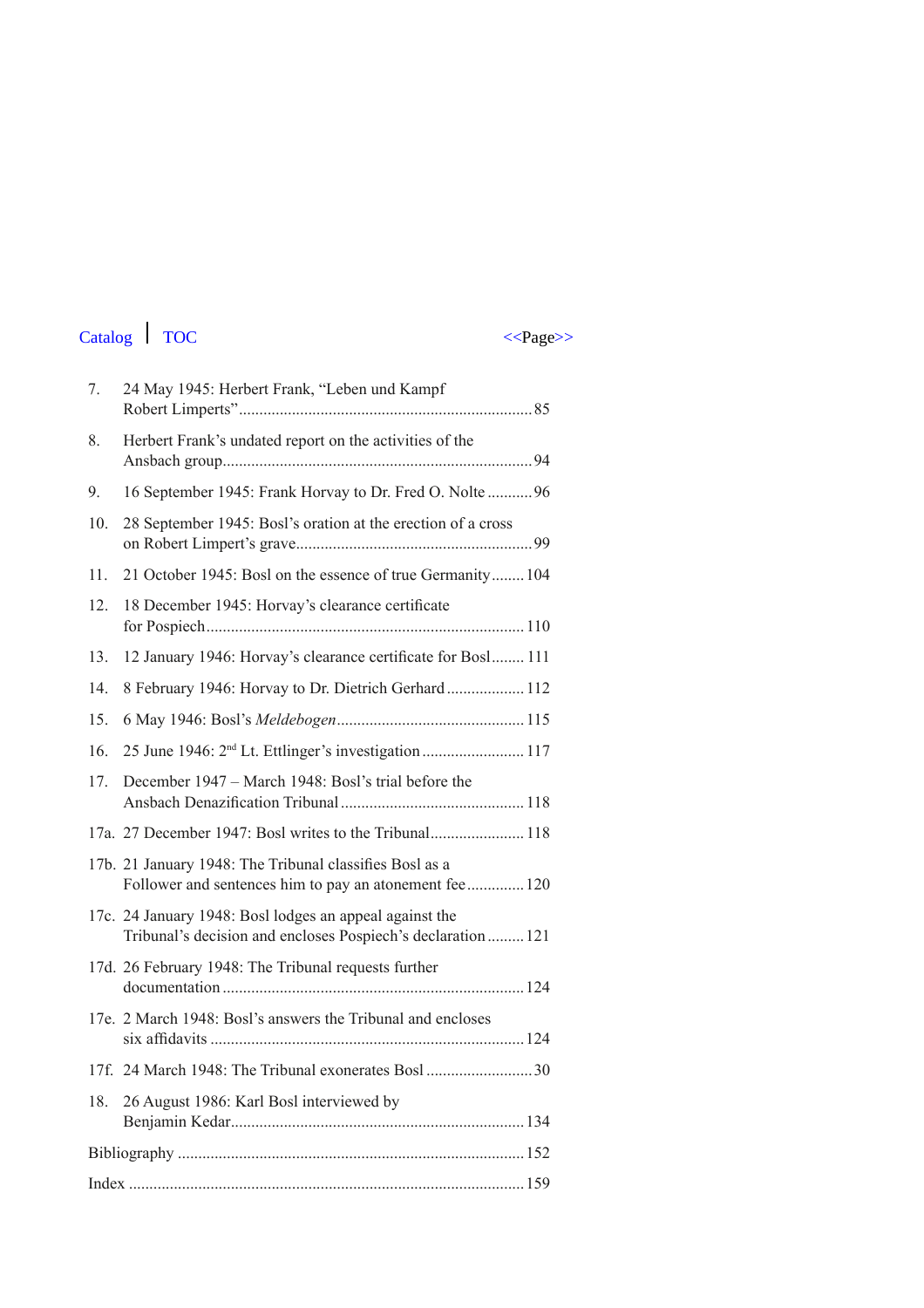# Catalog 7OC <<ra>
</br/>  $\leq$  2008 <<br/>  $\leq$  2008 <<<br/>  $\leq$  2008  $\leq$  2008  $\leq$  2008  $\leq$  2008  $\leq$  2008<br/> 2008  $\leq$  2008  $\leq$  2008  $\leq$  2008  $\leq$  2008  $\leq$  2008  $\leq$  2008  $\leq$  2008  $\leq$  2008  $\leq$  2

| 7.  | 24 May 1945: Herbert Frank, "Leben und Kampf                                                                            |
|-----|-------------------------------------------------------------------------------------------------------------------------|
| 8.  | Herbert Frank's undated report on the activities of the                                                                 |
| 9.  | 16 September 1945: Frank Horvay to Dr. Fred O. Nolte  96                                                                |
| 10. | 28 September 1945: Bosl's oration at the erection of a cross                                                            |
| 11. | 21 October 1945: Bosl on the essence of true Germanity 104                                                              |
| 12. | 18 December 1945: Horvay's clearance certificate                                                                        |
| 13. | 12 January 1946: Horvay's clearance certificate for Bosl 111                                                            |
| 14. | 8 February 1946: Horvay to Dr. Dietrich Gerhard 112                                                                     |
| 15. |                                                                                                                         |
| 16. |                                                                                                                         |
| 17. | December 1947 – March 1948: Bosl's trial before the                                                                     |
|     | 17a. 27 December 1947: Bosl writes to the Tribunal 118                                                                  |
|     | 17b. 21 January 1948: The Tribunal classifies Bosl as a<br>Follower and sentences him to pay an atonement fee  120      |
|     | 17c. 24 January 1948: Bosl lodges an appeal against the<br>Tribunal's decision and encloses Pospiech's declaration  121 |
|     | 17d. 26 February 1948: The Tribunal requests further                                                                    |
|     | 17e. 2 March 1948: Bosl's answers the Tribunal and encloses                                                             |
|     | 17f. 24 March 1948: The Tribunal exonerates Bosl 30                                                                     |
| 18. | 26 August 1986: Karl Bosl interviewed by                                                                                |
|     |                                                                                                                         |
|     |                                                                                                                         |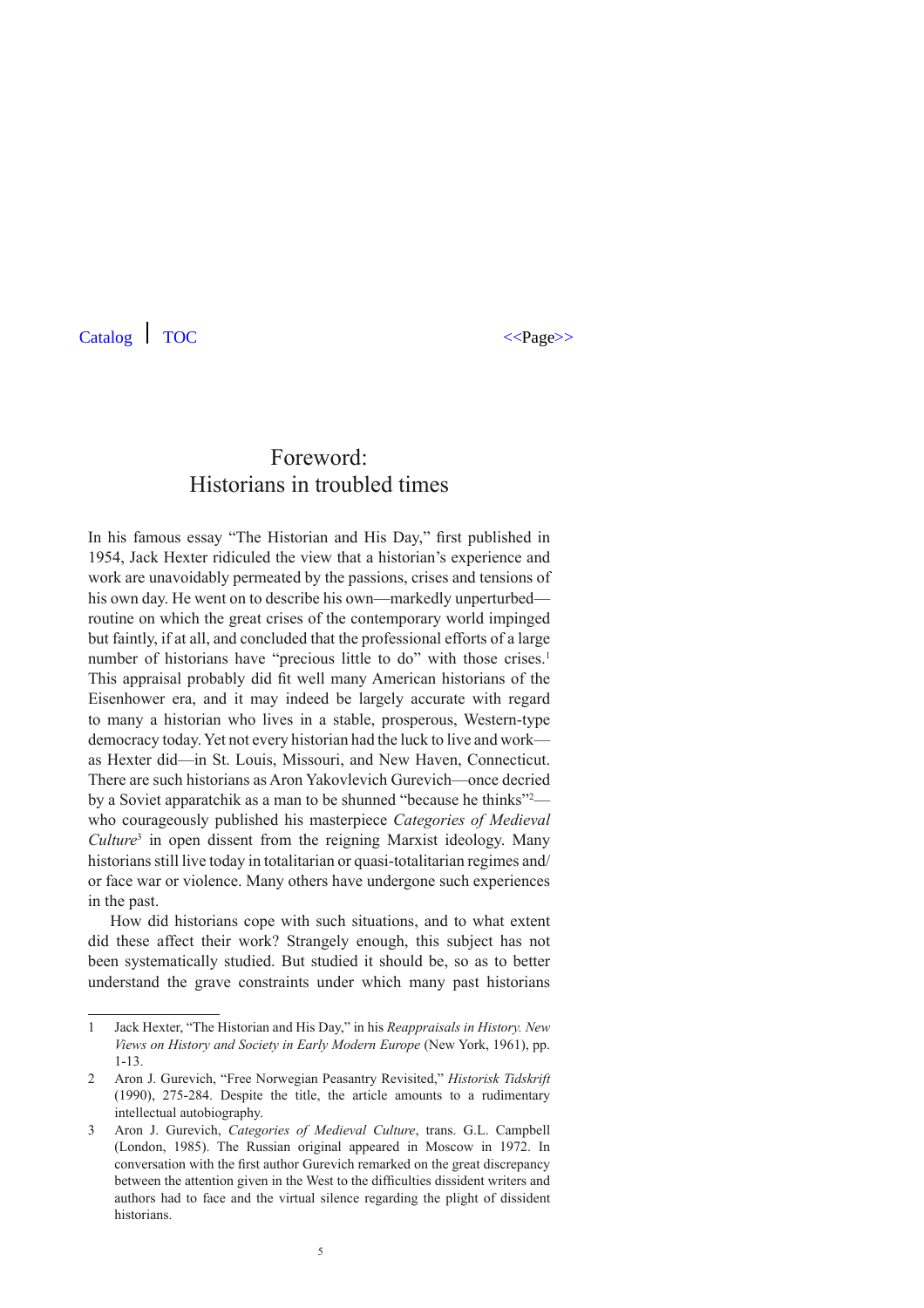### Foreword: Historians in troubled times

In his famous essay "The Historian and His Day," first published in 1954, Jack Hexter ridiculed the view that a historian's experience and work are unavoidably permeated by the passions, crises and tensions of his own day. He went on to describe his own—markedly unperturbed routine on which the great crises of the contemporary world impinged but faintly, if at all, and concluded that the professional efforts of a large number of historians have "precious little to do" with those crises.<sup>1</sup> This appraisal probably did fit well many American historians of the Eisenhower era, and it may indeed be largely accurate with regard to many a historian who lives in a stable, prosperous, Western-type democracy today. Yet not every historian had the luck to live and work as Hexter did—in St. Louis, Missouri, and New Haven, Connecticut. There are such historians as Aron Yakovlevich Gurevich—once decried by a Soviet apparatchik as a man to be shunned "because he thinks"<sup>2</sup> who courageously published his masterpiece *Categories of Medieval Culture*<sup>3</sup> in open dissent from the reigning Marxist ideology. Many historians still live today in totalitarian or quasi-totalitarian regimes and/ or face war or violence. Many others have undergone such experiences in the past.

How did historians cope with such situations, and to what extent did these affect their work? Strangely enough, this subject has not been systematically studied. But studied it should be, so as to better understand the grave constraints under which many past historians

<sup>1</sup> Jack Hexter, "The Historian and His Day," in his *Reappraisals in History. New Views on History and Society in Early Modern Europe* (New York, 1961), pp. 1-13.

<sup>2</sup> Aron J. Gurevich, "Free Norwegian Peasantry Revisited," *Historisk Tidskrift*  (1990), 275-284. Despite the title, the article amounts to a rudimentary intellectual autobiography.

<sup>3</sup> Aron J. Gurevich, *Categories of Medieval Culture*, trans. G.L. Campbell (London, 1985). The Russian original appeared in Moscow in 1972. In conversation with the first author Gurevich remarked on the great discrepancy between the attention given in the West to the difficulties dissident writers and authors had to face and the virtual silence regarding the plight of dissident historians.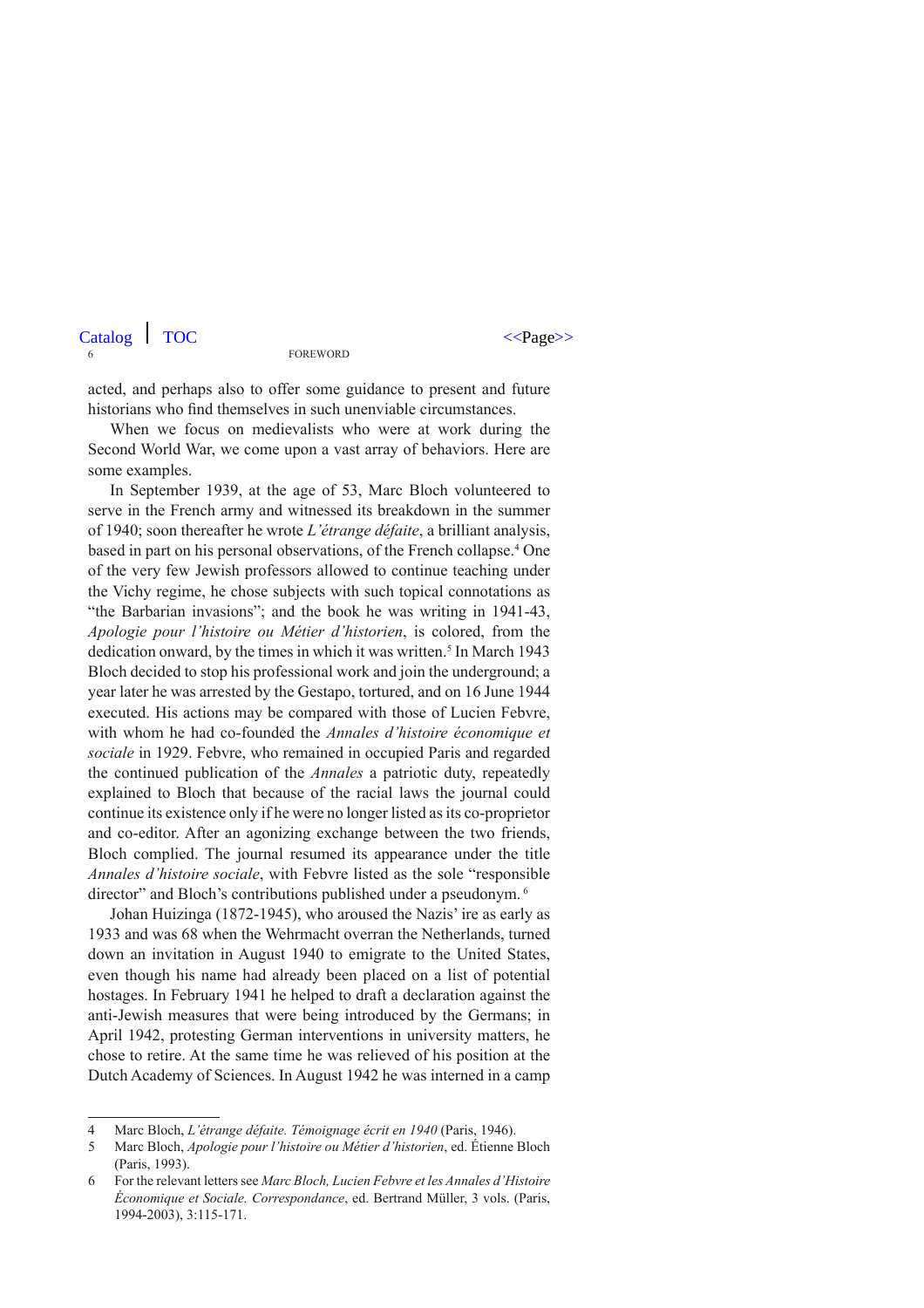acted, and perhaps also to offer some guidance to present and future historians who find themselves in such unenviable circumstances.

When we focus on medievalists who were at work during the Second World War, we come upon a vast array of behaviors. Here are some examples.

In September 1939, at the age of 53, Marc Bloch volunteered to serve in the French army and witnessed its breakdown in the summer of 1940; soon thereafter he wrote *L'étrange défaite*, a brilliant analysis, based in part on his personal observations, of the French collapse.4 One of the very few Jewish professors allowed to continue teaching under the Vichy regime, he chose subjects with such topical connotations as "the Barbarian invasions"; and the book he was writing in 1941-43, *Apologie pour l'histoire ou Métier d'historien*, is colored, from the dedication onward, by the times in which it was written.<sup>5</sup> In March 1943 Bloch decided to stop his professional work and join the underground; a year later he was arrested by the Gestapo, tortured, and on 16 June 1944 executed. His actions may be compared with those of Lucien Febvre, with whom he had co-founded the *Annales d'histoire économique et sociale* in 1929. Febvre, who remained in occupied Paris and regarded the continued publication of the *Annales* a patriotic duty, repeatedly explained to Bloch that because of the racial laws the journal could continue its existence only if he were no longer listed as its co-proprietor and co-editor. After an agonizing exchange between the two friends, Bloch complied. The journal resumed its appearance under the title *Annales d'histoire sociale*, with Febvre listed as the sole "responsible director" and Bloch's contributions published under a pseudonym.<sup>6</sup>

Johan Huizinga (1872-1945), who aroused the Nazis' ire as early as 1933 and was 68 when the Wehrmacht overran the Netherlands, turned down an invitation in August 1940 to emigrate to the United States, even though his name had already been placed on a list of potential hostages. In February 1941 he helped to draft a declaration against the anti-Jewish measures that were being introduced by the Germans; in April 1942, protesting German interventions in university matters, he chose to retire. At the same time he was relieved of his position at the Dutch Academy of Sciences. In August 1942 he was interned in a camp

<sup>4</sup> Marc Bloch, *L'étrange défaite. Témoignage écrit en 1940* (Paris, 1946).

<sup>5</sup> Marc Bloch, *Apologie pour l'histoire ou Métier d'historien*, ed. Étienne Bloch (Paris, 1993).

<sup>6</sup> For the relevant letters see *Marc Bloch, Lucien Febvre et les Annales d'Histoire Économique et Sociale. Correspondance*, ed. Bertrand Müller, 3 vols. (Paris, 1994-2003), 3:115-171.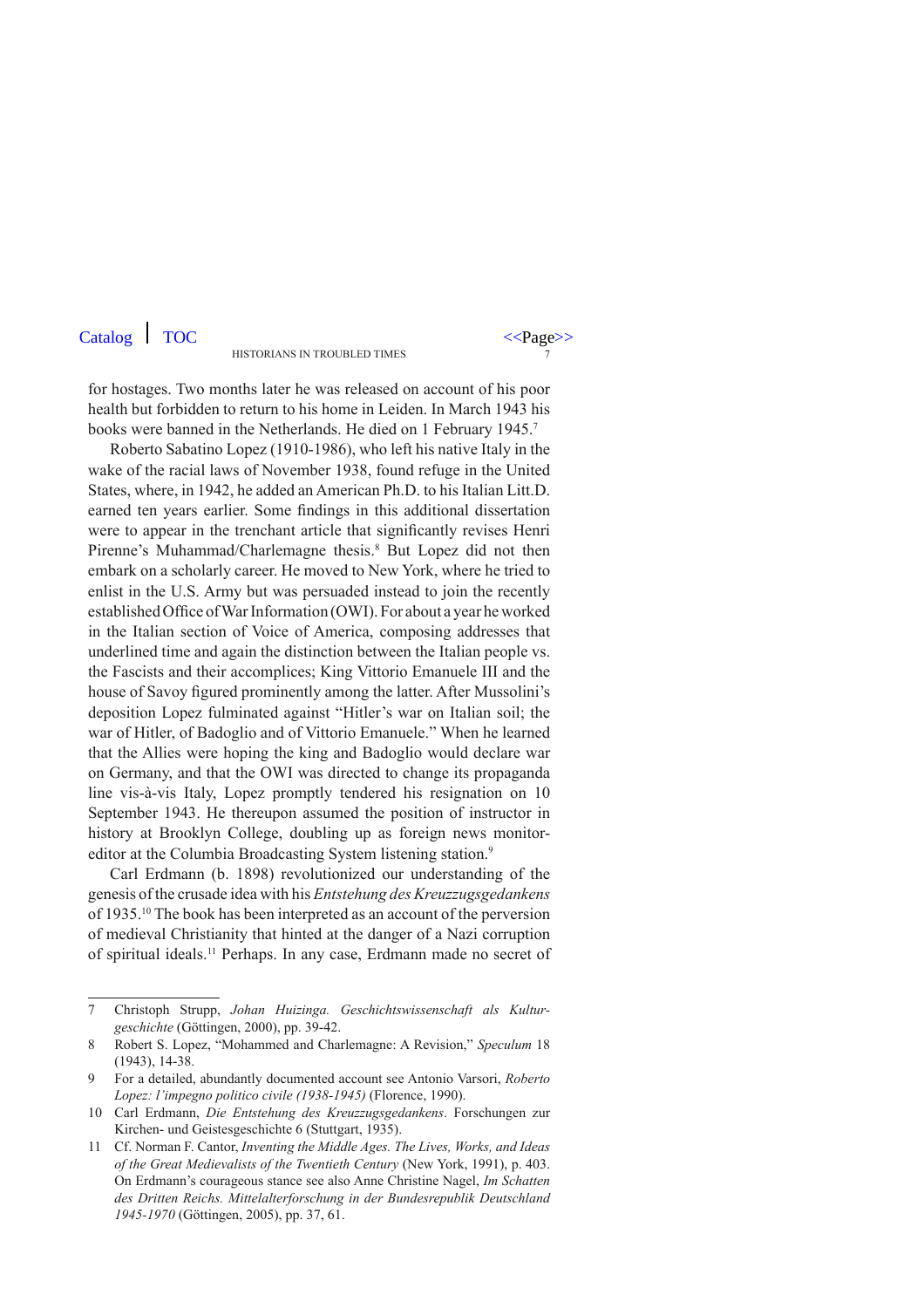for hostages. Two months later he was released on account of his poor health but forbidden to return to his home in Leiden. In March 1943 his books were banned in the Netherlands. He died on 1 February 1945.<sup>7</sup>

Roberto Sabatino Lopez (1910-1986), who left his native Italy in the wake of the racial laws of November 1938, found refuge in the United States, where, in 1942, he added an American Ph.D. to his Italian Litt.D. earned ten years earlier. Some findings in this additional dissertation were to appear in the trenchant article that significantly revises Henri Pirenne's Muhammad/Charlemagne thesis.<sup>8</sup> But Lopez did not then embark on a scholarly career. He moved to New York, where he tried to enlist in the U.S. Army but was persuaded instead to join the recently established Office of War Information (OWI). For about a year he worked in the Italian section of Voice of America, composing addresses that underlined time and again the distinction between the Italian people vs. the Fascists and their accomplices; King Vittorio Emanuele III and the house of Savoy figured prominently among the latter. After Mussolini's deposition Lopez fulminated against "Hitler's war on Italian soil; the war of Hitler, of Badoglio and of Vittorio Emanuele." When he learned that the Allies were hoping the king and Badoglio would declare war on Germany, and that the OWI was directed to change its propaganda line vis-à-vis Italy, Lopez promptly tendered his resignation on 10 September 1943. He thereupon assumed the position of instructor in history at Brooklyn College, doubling up as foreign news monitoreditor at the Columbia Broadcasting System listening station.<sup>9</sup>

Carl Erdmann (b. 1898) revolutionized our understanding of the genesis of the crusade idea with his *Entstehung des Kreuzzugsgedankens*  of 1935.10 The book has been interpreted as an account of the perversion of medieval Christianity that hinted at the danger of a Nazi corruption of spiritual ideals.11 Perhaps. In any case, Erdmann made no secret of

<sup>7</sup> Christoph Strupp, *Johan Huizinga. Geschichtswissenschaft als Kulturgeschichte* (Göttingen, 2000), pp. 39-42.

<sup>8</sup> Robert S. Lopez, "Mohammed and Charlemagne: A Revision," *Speculum* 18 (1943), 14-38.

<sup>9</sup> For a detailed, abundantly documented account see Antonio Varsori, *Roberto Lopez: l'impegno politico civile (1938-1945)* (Florence, 1990).

<sup>10</sup> Carl Erdmann, *Die Entstehung des Kreuzzugsgedankens*. Forschungen zur Kirchen- und Geistesgeschichte 6 (Stuttgart, 1935).

<sup>11</sup> Cf. Norman F. Cantor, *Inventing the Middle Ages. The Lives, Works, and Ideas of the Great Medievalists of the Twentieth Century* (New York, 1991), p. 403. On Erdmann's courageous stance see also Anne Christine Nagel, *Im Schatten des Dritten Reichs. Mittelalterforschung in der Bundesrepublik Deutschland 1945-1970* (Göttingen, 2005), pp. 37, 61.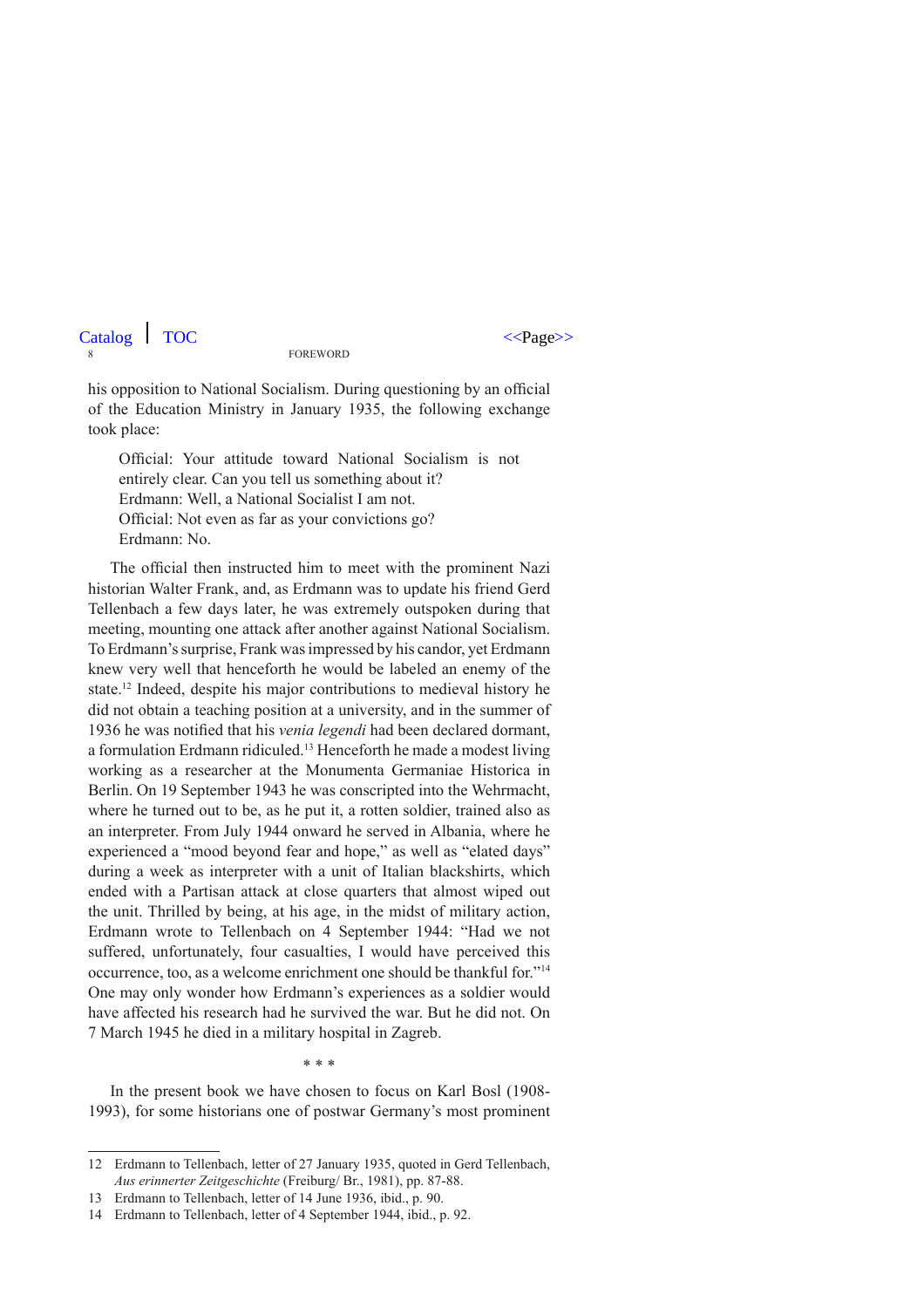8 FO his opposition to National Socialism. During questioning by an official of the Education Ministry in January 1935, the following exchange  $\text{Catalog}$  TOC FOREWORD  $\langle \text{Page}\rangle$ 

took place:

Official: Your attitude toward National Socialism is not entirely clear. Can you tell us something about it? Erdmann: Well, a National Socialist I am not. Official: Not even as far as your convictions go? Erdmann: No.

The official then instructed him to meet with the prominent Nazi historian Walter Frank, and, as Erdmann was to update his friend Gerd Tellenbach a few days later, he was extremely outspoken during that meeting, mounting one attack after another against National Socialism. To Erdmann's surprise, Frank was impressed by his candor, yet Erdmann knew very well that henceforth he would be labeled an enemy of the state.12 Indeed, despite his major contributions to medieval history he did not obtain a teaching position at a university, and in the summer of 1936 he was notified that his *venia legendi* had been declared dormant, a formulation Erdmann ridiculed.13 Henceforth he made a modest living working as a researcher at the Monumenta Germaniae Historica in Berlin. On 19 September 1943 he was conscripted into the Wehrmacht, where he turned out to be, as he put it, a rotten soldier, trained also as an interpreter. From July 1944 onward he served in Albania, where he experienced a "mood beyond fear and hope," as well as "elated days" during a week as interpreter with a unit of Italian blackshirts, which ended with a Partisan attack at close quarters that almost wiped out the unit. Thrilled by being, at his age, in the midst of military action, Erdmann wrote to Tellenbach on 4 September 1944: "Had we not suffered, unfortunately, four casualties, I would have perceived this occurrence, too, as a welcome enrichment one should be thankful for."14 One may only wonder how Erdmann's experiences as a soldier would have affected his research had he survived the war. But he did not. On 7 March 1945 he died in a military hospital in Zagreb.

\* \* \*

In the present book we have chosen to focus on Karl Bosl (1908- 1993), for some historians one of postwar Germany's most prominent

<sup>12</sup> Erdmann to Tellenbach, letter of 27 January 1935, quoted in Gerd Tellenbach, *Aus erinnerter Zeitgeschichte* (Freiburg/ Br., 1981), pp. 87-88.

<sup>13</sup> Erdmann to Tellenbach, letter of 14 June 1936, ibid., p. 90.

<sup>14</sup> Erdmann to Tellenbach, letter of 4 September 1944, ibid., p. 92.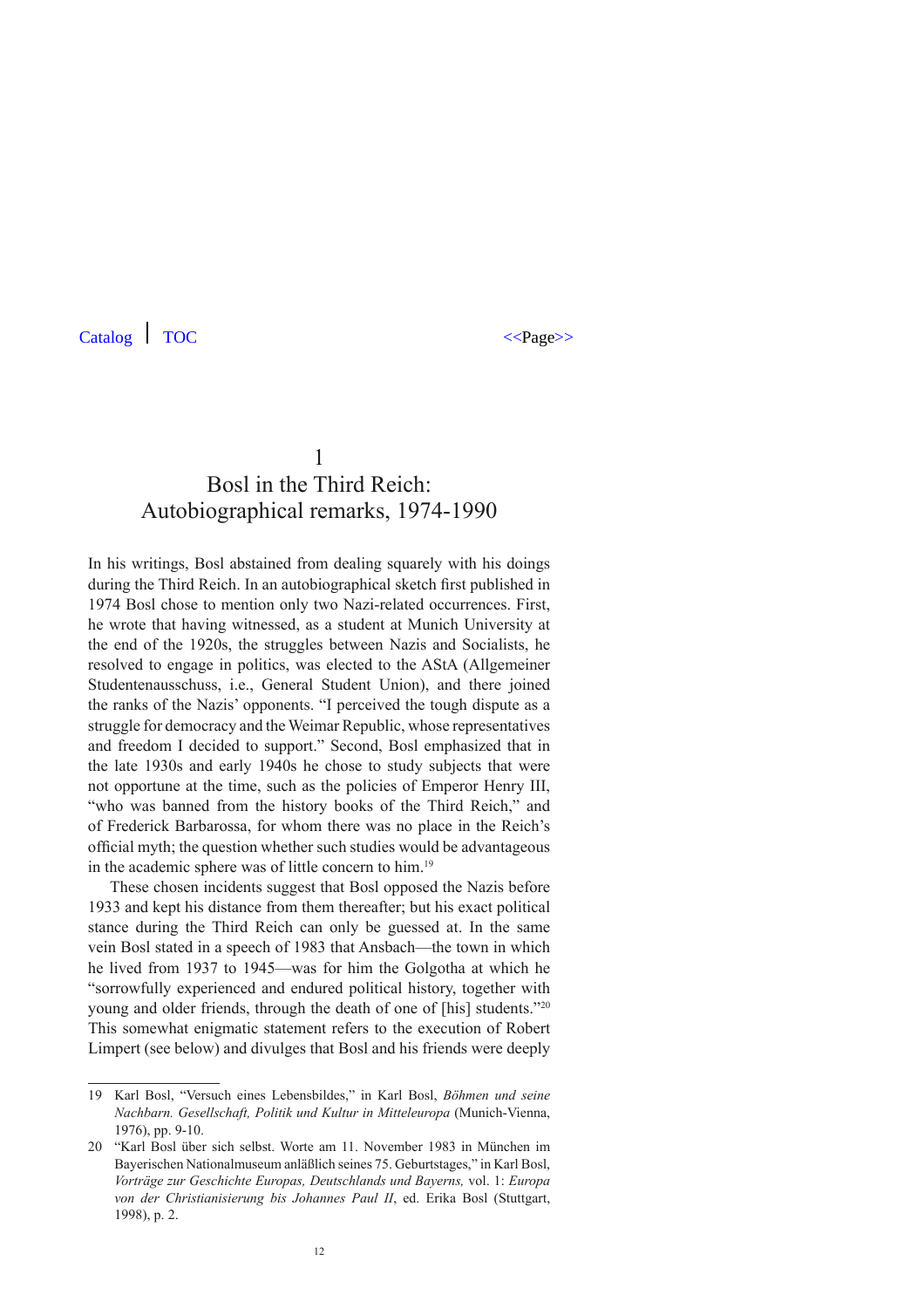## Bosl in the Third Reich: Autobiographical remarks, 1974-1990

In his writings, Bosl abstained from dealing squarely with his doings during the Third Reich. In an autobiographical sketch first published in 1974 Bosl chose to mention only two Nazi-related occurrences. First, he wrote that having witnessed, as a student at Munich University at the end of the 1920s, the struggles between Nazis and Socialists, he resolved to engage in politics, was elected to the AStA (Allgemeiner Studentenausschuss, i.e., General Student Union), and there joined the ranks of the Nazis' opponents. "I perceived the tough dispute as a struggle for democracy and the Weimar Republic, whose representatives and freedom I decided to support." Second, Bosl emphasized that in the late 1930s and early 1940s he chose to study subjects that were not opportune at the time, such as the policies of Emperor Henry III, "who was banned from the history books of the Third Reich," and of Frederick Barbarossa, for whom there was no place in the Reich's official myth; the question whether such studies would be advantageous in the academic sphere was of little concern to him.19

These chosen incidents suggest that Bosl opposed the Nazis before 1933 and kept his distance from them thereafter; but his exact political stance during the Third Reich can only be guessed at. In the same vein Bosl stated in a speech of 1983 that Ansbach—the town in which he lived from 1937 to 1945—was for him the Golgotha at which he "sorrowfully experienced and endured political history, together with young and older friends, through the death of one of [his] students."20 This somewhat enigmatic statement refers to the execution of Robert Limpert (see below) and divulges that Bosl and his friends were deeply

<sup>19</sup> Karl Bosl, "Versuch eines Lebensbildes," in Karl Bosl, *Böhmen und seine Nachbarn. Gesellschaft, Politik und Kultur in Mitteleuropa* (Munich-Vienna, 1976), pp. 9-10.

<sup>20</sup> "Karl Bosl über sich selbst. Worte am 11. November 1983 in München im Bayerischen Nationalmuseum anläßlich seines 75. Geburtstages," in Karl Bosl, *Vorträge zur Geschichte Europas, Deutschlands und Bayerns,* vol. 1: *Europa von der Christianisierung bis Johannes Paul II*, ed. Erika Bosl (Stuttgart, 1998), p. 2.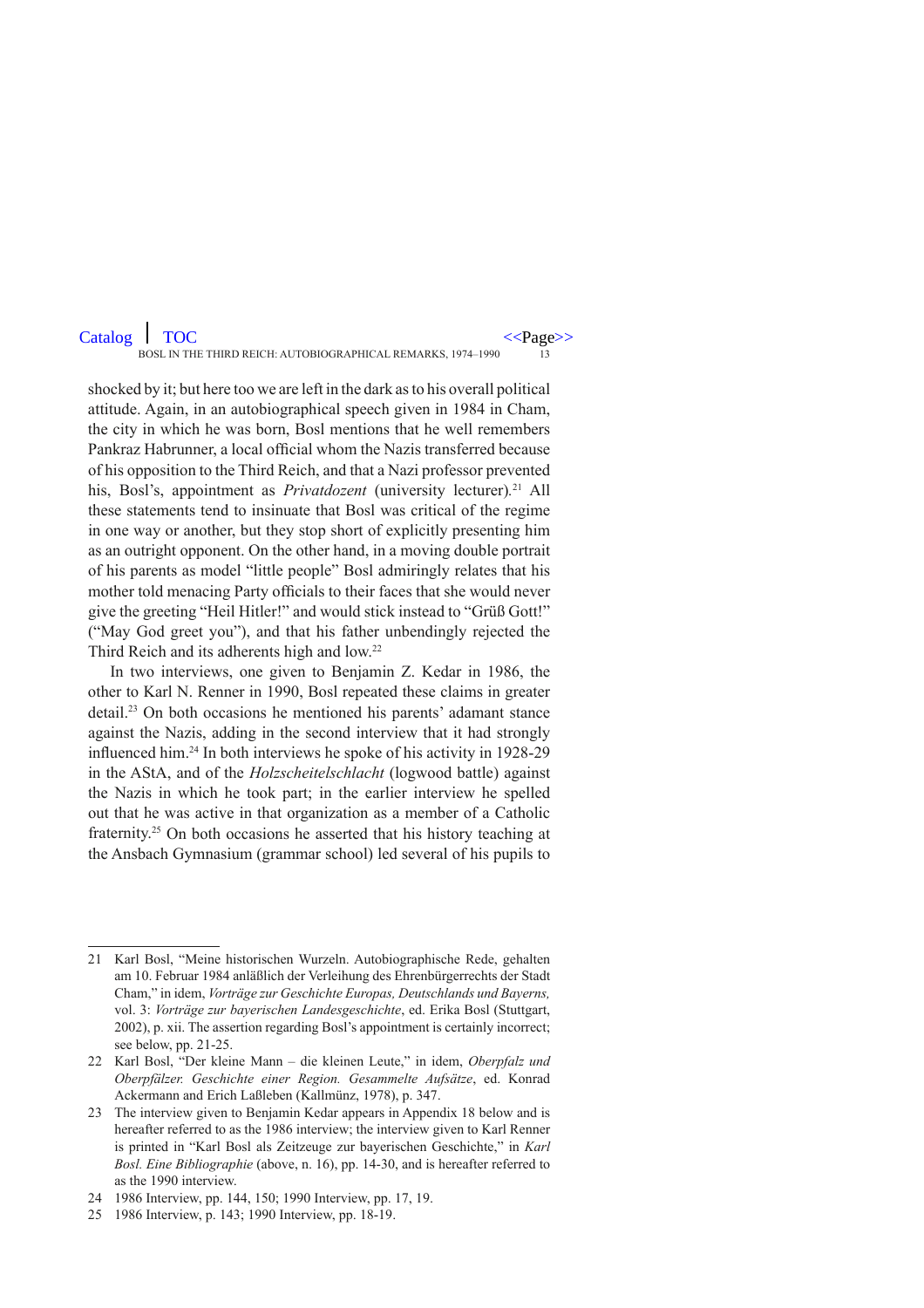BOSL IN THE THIRD REICH: AUTOBIOGRAPHICAL REMARKS, 1974–1990

shocked by it; but here too we are left in the dark as to his overall political attitude. Again, in an autobiographical speech given in 1984 in Cham, the city in which he was born, Bosl mentions that he well remembers Pankraz Habrunner, a local official whom the Nazis transferred because of his opposition to the Third Reich, and that a Nazi professor prevented his, Bosl's, appointment as *Privatdozent* (university lecturer)*.* 21 All these statements tend to insinuate that Bosl was critical of the regime in one way or another, but they stop short of explicitly presenting him as an outright opponent. On the other hand, in a moving double portrait of his parents as model "little people" Bosl admiringly relates that his mother told menacing Party officials to their faces that she would never give the greeting "Heil Hitler!" and would stick instead to "Grüß Gott!" ("May God greet you"), and that his father unbendingly rejected the Third Reich and its adherents high and low.<sup>22</sup>

In two interviews, one given to Benjamin Z. Kedar in 1986, the other to Karl N. Renner in 1990, Bosl repeated these claims in greater detail.23 On both occasions he mentioned his parents' adamant stance against the Nazis, adding in the second interview that it had strongly influenced him.24 In both interviews he spoke of his activity in 1928-29 in the AStA, and of the *Holzscheitelschlacht* (logwood battle) against the Nazis in which he took part; in the earlier interview he spelled out that he was active in that organization as a member of a Catholic fraternity.25 On both occasions he asserted that his history teaching at the Ansbach Gymnasium (grammar school) led several of his pupils to

<sup>21</sup> Karl Bosl, "Meine historischen Wurzeln. Autobiographische Rede, gehalten am 10. Februar 1984 anläßlich der Verleihung des Ehrenbürgerrechts der Stadt Cham," in idem, *Vorträge zur Geschichte Europas, Deutschlands und Bayerns,*  vol. 3: *Vorträge zur bayerischen Landesgeschichte*, ed. Erika Bosl (Stuttgart, 2002), p. xii. The assertion regarding Bosl's appointment is certainly incorrect; see below, pp. 21-25.

<sup>22</sup> Karl Bosl, "Der kleine Mann – die kleinen Leute," in idem, *Oberpfalz und Oberpfälzer. Geschichte einer Region. Gesammelte Aufsätze*, ed. Konrad Ackermann and Erich Laßleben (Kallmünz, 1978), p. 347.

<sup>23</sup> The interview given to Benjamin Kedar appears in Appendix 18 below and is hereafter referred to as the 1986 interview; the interview given to Karl Renner is printed in "Karl Bosl als Zeitzeuge zur bayerischen Geschichte," in *Karl Bosl. Eine Bibliographie* (above, n. 16), pp. 14-30, and is hereafter referred to as the 1990 interview.

<sup>24</sup> 1986 Interview, pp. 144, 150; 1990 Interview, pp. 17, 19.

<sup>25</sup> 1986 Interview, p. 143; 1990 Interview, pp. 18-19.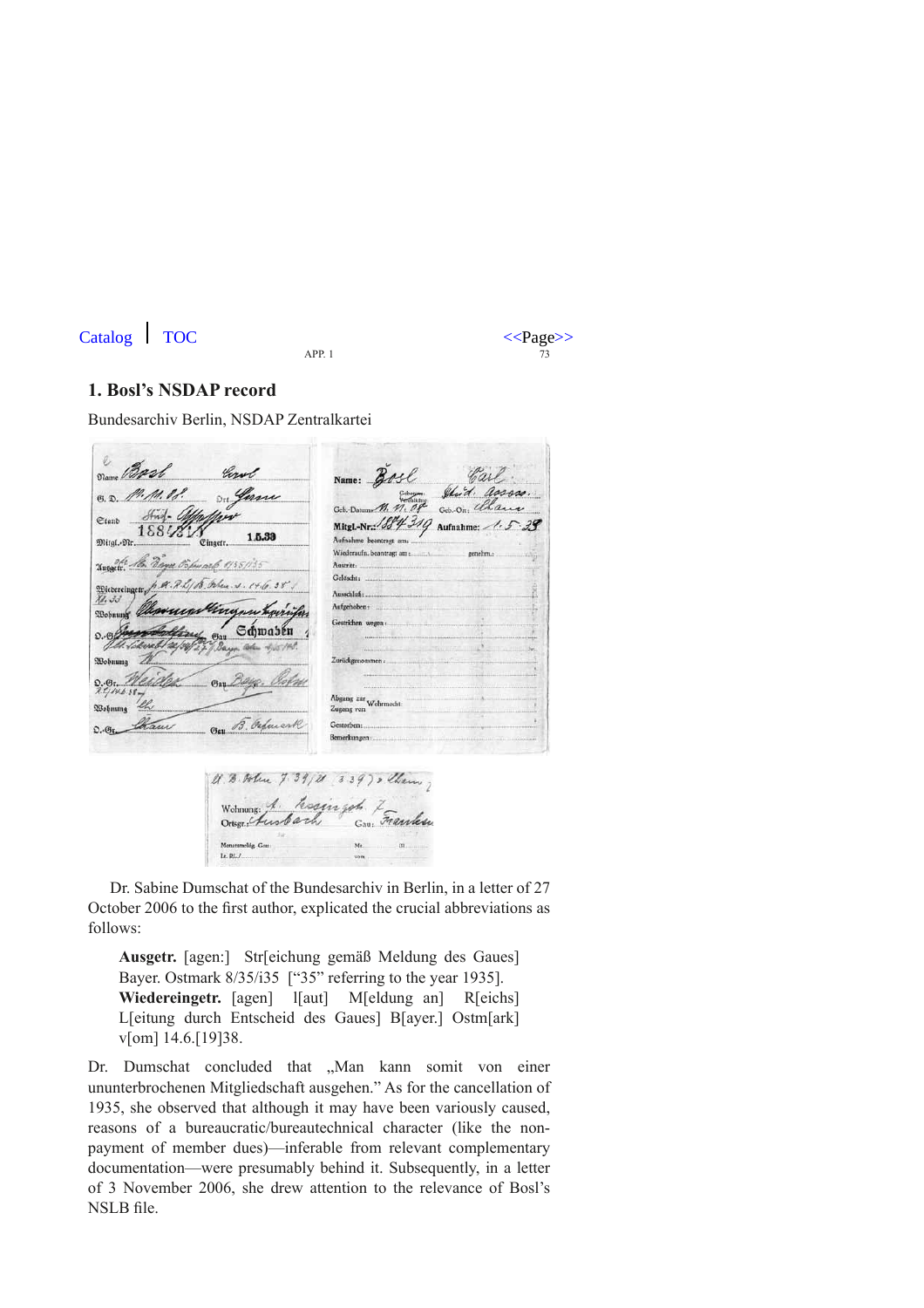Catalog  $\left| \right.$  TOC  $\left| \right.$  TOC  $\left| \right.$   $\left| \right.$   $\left| \right.$   $\left| \right.$   $\left| \right.$   $\left| \right.$   $\left| \right.$   $\left| \right.$   $\left| \right.$   $\left| \right.$   $\left| \right.$   $\left| \right.$   $\left| \right.$   $\left| \right.$   $\left| \right.$   $\left| \right.$   $\left| \right.$   $\left| \right.$   $\left| \right.$   $\left| \right.$   $\left| \right.$ 



#### **1. Bosl's NSDAP record**

Bundesarchiv Berlin, NSDAP Zentralkartei

Drame Bast 11. A. VI. Geb. On: Clha  $\partial f$ <sub>ng</sub>-  $\theta$ Ctanb Mitgl.-Nr: 1884 319 Aufnahme: 1881/ 1.5.33 Mital.-Mr. .<br>Einaetr. Wiederaufn. beantragt am: Unegete Mr. Bayer Osporarly 1935135 Gelöscht: **Wiedereinger** Ausschloß  $\sqrt[3]{1}$ , 30 Aufgehoben: **SBohnuna** Gestrichen wegen Schwaben **ORobnung**  $0.88.$ Abgang zur<br>Zugang von Wehrmacht **Фвобнина** Zugang von Gay B. Orfmark Cham Gesterben:  $\Omega_{c}$ (Sir Bemerkungen: U. B. Alex. 7.39/21 339) , Cherry. Wohnung: A. Kosingoh Zamilia Monatsmeldg, Gau Lt.  $RL$ 

Dr. Sabine Dumschat of the Bundesarchiv in Berlin, in a letter of 27 October 2006 to the first author, explicated the crucial abbreviations as follows:

**Ausgetr.** [agen:] Str[eichung gemäß Meldung des Gaues] Bayer. Ostmark  $8/35/135$  ["35" referring to the year 1935]. **Wiedereingetr.** [agen] l[aut] M[eldung an] R[eichs] L[eitung durch Entscheid des Gaues] B[ayer.] Ostm[ark] v[om] 14.6.[19]38.

Dr. Dumschat concluded that "Man kann somit von einer ununterbrochenen Mitgliedschaft ausgehen." As for the cancellation of 1935, she observed that although it may have been variously caused, reasons of a bureaucratic/bureautechnical character (like the nonpayment of member dues)—inferable from relevant complementary documentation—were presumably behind it. Subsequently, in a letter of 3 November 2006, she drew attention to the relevance of Bosl's NSLB file.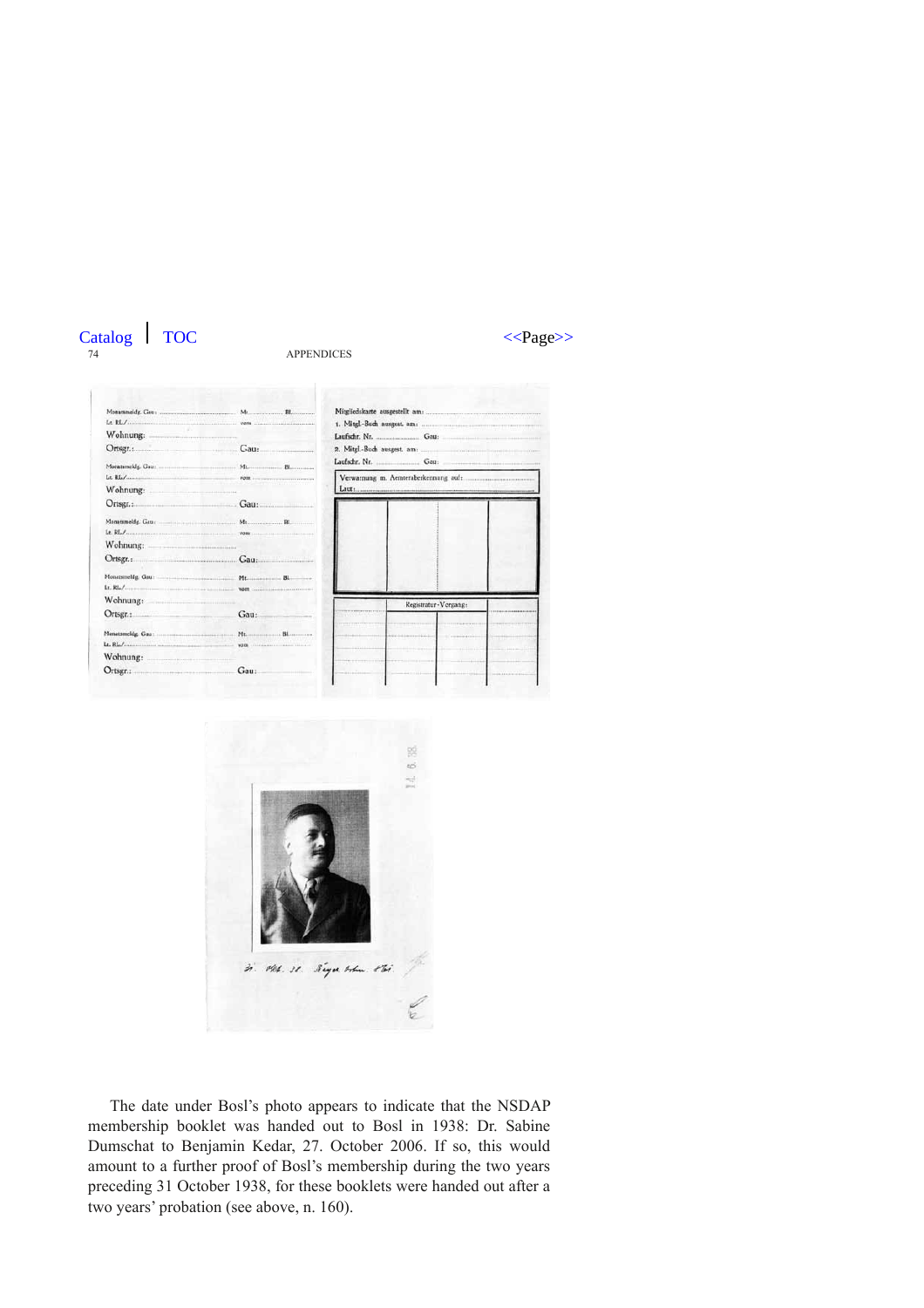



| Wohnung:                                                                                                                                                                                                                       |                                                                                                                                                                                                                                |                                                                              |
|--------------------------------------------------------------------------------------------------------------------------------------------------------------------------------------------------------------------------------|--------------------------------------------------------------------------------------------------------------------------------------------------------------------------------------------------------------------------------|------------------------------------------------------------------------------|
| Ortsgr.: Cau:                                                                                                                                                                                                                  |                                                                                                                                                                                                                                |                                                                              |
|                                                                                                                                                                                                                                |                                                                                                                                                                                                                                |                                                                              |
|                                                                                                                                                                                                                                | VOID <b>CONTINUES</b>                                                                                                                                                                                                          | Verwarnung m. Aemteraberkennung auf:                                         |
| Wohnung: Maria Maria Maria Maria Maria Maria Maria Maria Maria Maria Maria Maria Maria Maria Maria Maria Maria Maria Maria Maria Maria Maria Maria Maria Maria Maria Maria Maria Maria Maria Maria Maria Maria Maria Maria Mar |                                                                                                                                                                                                                                | Laut:                                                                        |
|                                                                                                                                                                                                                                | Ortsgr.: Gau:                                                                                                                                                                                                                  |                                                                              |
|                                                                                                                                                                                                                                |                                                                                                                                                                                                                                |                                                                              |
|                                                                                                                                                                                                                                |                                                                                                                                                                                                                                |                                                                              |
| Wohnung:                                                                                                                                                                                                                       |                                                                                                                                                                                                                                |                                                                              |
| Ortsgr.:                                                                                                                                                                                                                       | Gau                                                                                                                                                                                                                            |                                                                              |
|                                                                                                                                                                                                                                |                                                                                                                                                                                                                                |                                                                              |
| L, RL                                                                                                                                                                                                                          | The company of the property company of the West Company of the Company of the Company of the Company of the Company of the Company of the Company of the Company of the Company of the Company of the Company of the Company o |                                                                              |
| Wohnung:                                                                                                                                                                                                                       |                                                                                                                                                                                                                                | Registratur-Vorgang:                                                         |
| Ortsgr.:                                                                                                                                                                                                                       | Gau:                                                                                                                                                                                                                           | ---------------------                                                        |
|                                                                                                                                                                                                                                |                                                                                                                                                                                                                                |                                                                              |
|                                                                                                                                                                                                                                |                                                                                                                                                                                                                                |                                                                              |
| Wohnung: When the Monthly and the Monthly and the Monthly and the Monthly and the Monthly and the Monthly and the Monthly and the Monthly and the Monthly and the Monthly and the Monthly and the Monthly and the Monthly and  |                                                                                                                                                                                                                                | ------------------                                                           |
| Ortsgr.:                                                                                                                                                                                                                       | Gau:                                                                                                                                                                                                                           | <br>The contract of the<br>Construction of the American<br><b>CONTRACTOR</b> |



The date under Bosl's photo appears to indicate that the NSDAP membership booklet was handed out to Bosl in 1938: Dr. Sabine Dumschat to Benjamin Kedar, 27. October 2006. If so, this would amount to a further proof of Bosl's membership during the two years preceding 31 October 1938, for these booklets were handed out after a two years' probation (see above, n. 160).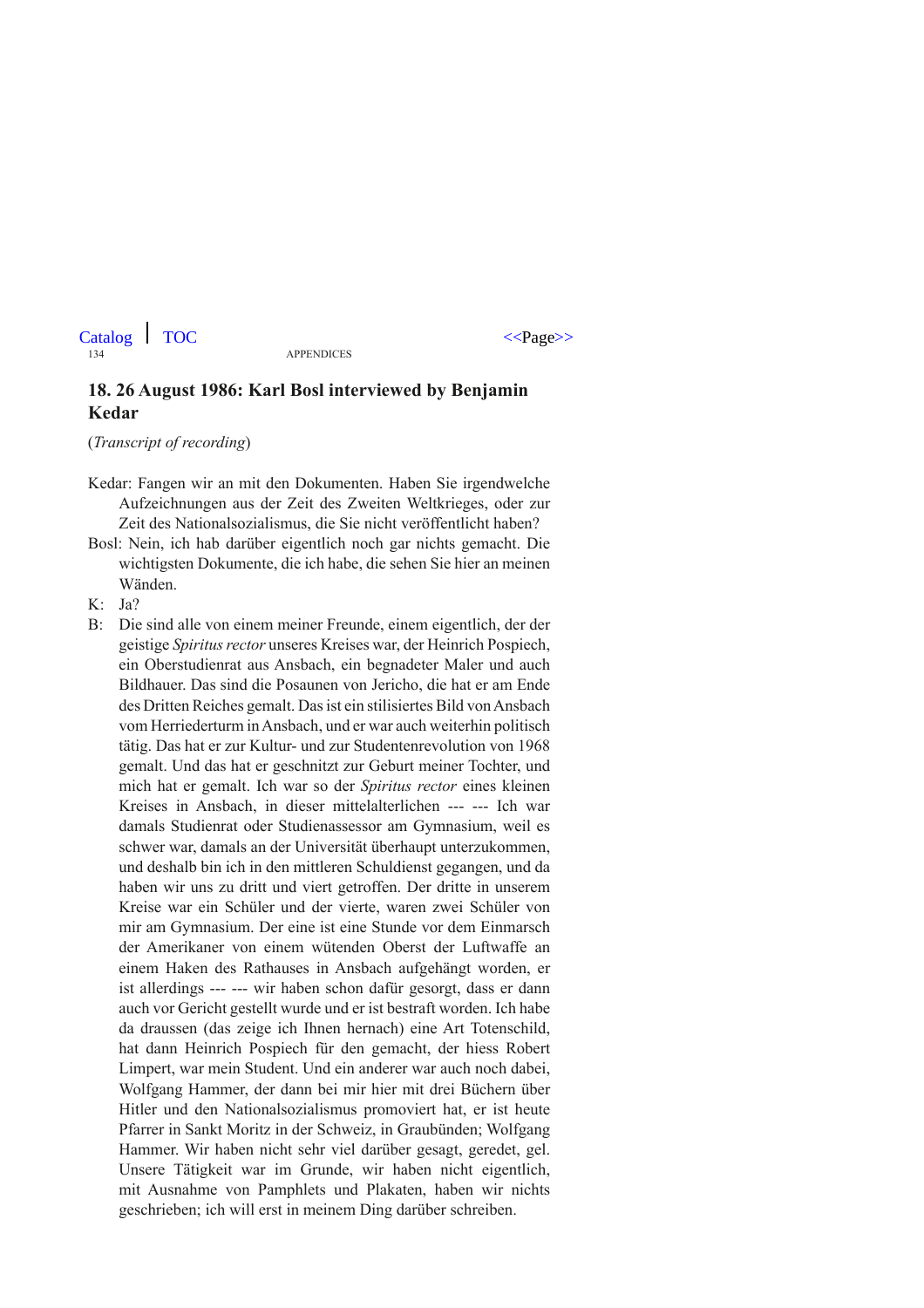#### **18. 26 August 1986: Karl Bosl interviewed by Benjamin Kedar**

(*Transcript of recording*)

Kedar: Fangen wir an mit den Dokumenten. Haben Sie irgendwelche Aufzeichnungen aus der Zeit des Zweiten Weltkrieges, oder zur Zeit des Nationalsozialismus, die Sie nicht veröffentlicht haben?

- Bosl: Nein, ich hab darüber eigentlich noch gar nichts gemacht. Die wichtigsten Dokumente, die ich habe, die sehen Sie hier an meinen Wänden.
- K: Ja?
- B: Die sind alle von einem meiner Freunde, einem eigentlich, der der geistige *Spiritus rector* unseres Kreises war, der Heinrich Pospiech, ein Oberstudienrat aus Ansbach, ein begnadeter Maler und auch Bildhauer. Das sind die Posaunen von Jericho, die hat er am Ende des Dritten Reiches gemalt. Das ist ein stilisiertes Bild von Ansbach vom Herriederturm in Ansbach, und er war auch weiterhin politisch tätig. Das hat er zur Kultur- und zur Studentenrevolution von 1968 gemalt. Und das hat er geschnitzt zur Geburt meiner Tochter, und mich hat er gemalt. Ich war so der *Spiritus rector* eines kleinen Kreises in Ansbach, in dieser mittelalterlichen --- --- Ich war damals Studienrat oder Studienassessor am Gymnasium, weil es schwer war, damals an der Universität überhaupt unterzukommen, und deshalb bin ich in den mittleren Schuldienst gegangen, und da haben wir uns zu dritt und viert getroffen. Der dritte in unserem Kreise war ein Schüler und der vierte, waren zwei Schüler von mir am Gymnasium. Der eine ist eine Stunde vor dem Einmarsch der Amerikaner von einem wütenden Oberst der Luftwaffe an einem Haken des Rathauses in Ansbach aufgehängt worden, er ist allerdings --- --- wir haben schon dafür gesorgt, dass er dann auch vor Gericht gestellt wurde und er ist bestraft worden. Ich habe da draussen (das zeige ich Ihnen hernach) eine Art Totenschild, hat dann Heinrich Pospiech für den gemacht, der hiess Robert Limpert, war mein Student. Und ein anderer war auch noch dabei, Wolfgang Hammer, der dann bei mir hier mit drei Büchern über Hitler und den Nationalsozialismus promoviert hat, er ist heute Pfarrer in Sankt Moritz in der Schweiz, in Graubünden; Wolfgang Hammer. Wir haben nicht sehr viel darüber gesagt, geredet, gel. Unsere Tätigkeit war im Grunde, wir haben nicht eigentlich, mit Ausnahme von Pamphlets und Plakaten, haben wir nichts geschrieben; ich will erst in meinem Ding darüber schreiben.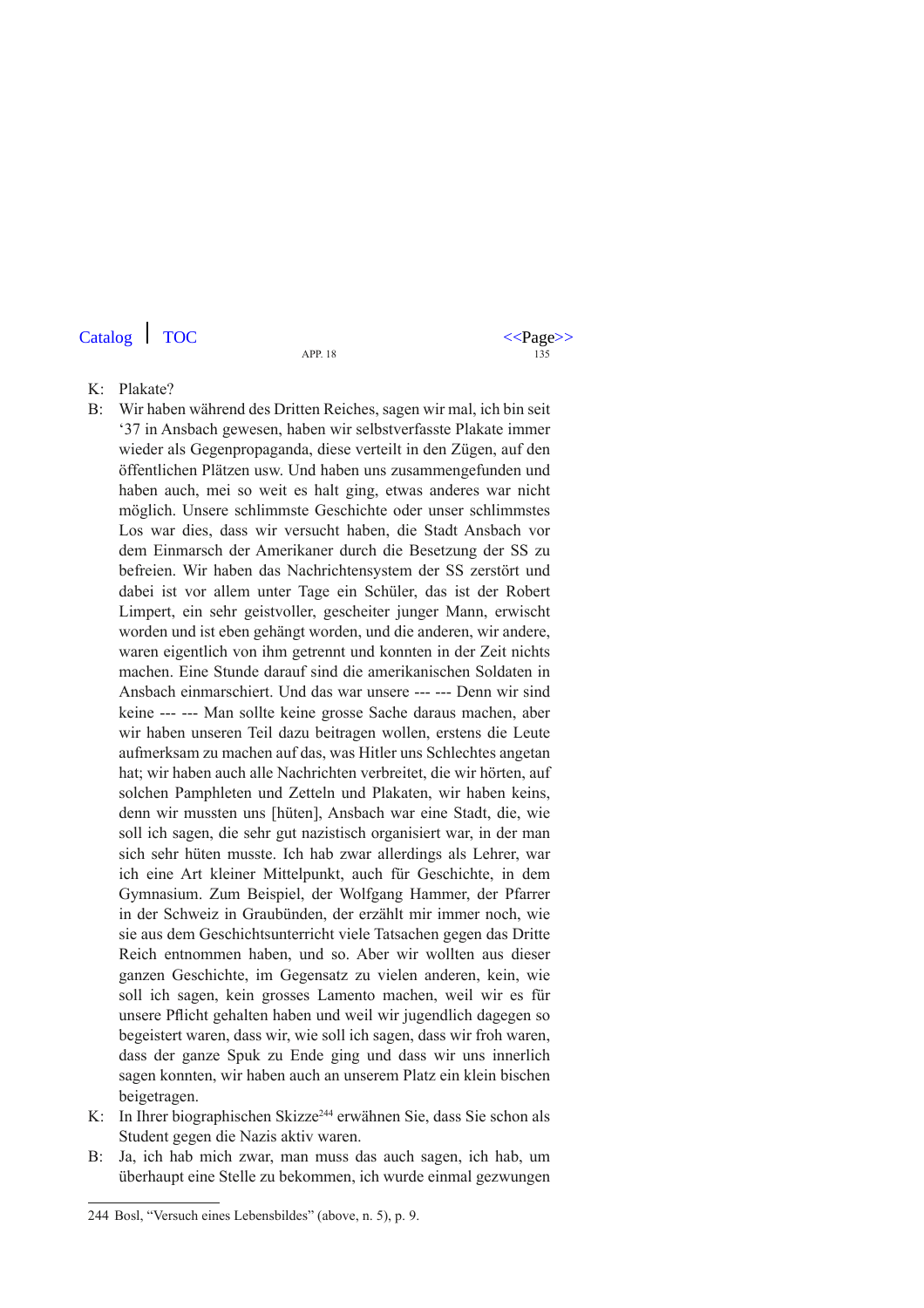$\text{Catalog}$  TOC  $\langle \text{Page}\rangle$ 

- K: Plakate?
- B: Wir haben während des Dritten Reiches, sagen wir mal, ich bin seit '37 in Ansbach gewesen, haben wir selbstverfasste Plakate immer wieder als Gegenpropaganda, diese verteilt in den Zügen, auf den öffentlichen Plätzen usw. Und haben uns zusammengefunden und haben auch, mei so weit es halt ging, etwas anderes war nicht möglich. Unsere schlimmste Geschichte oder unser schlimmstes Los war dies, dass wir versucht haben, die Stadt Ansbach vor dem Einmarsch der Amerikaner durch die Besetzung der SS zu befreien. Wir haben das Nachrichtensystem der SS zerstört und dabei ist vor allem unter Tage ein Schüler, das ist der Robert Limpert, ein sehr geistvoller, gescheiter junger Mann, erwischt worden und ist eben gehängt worden, und die anderen, wir andere, waren eigentlich von ihm getrennt und konnten in der Zeit nichts machen. Eine Stunde darauf sind die amerikanischen Soldaten in Ansbach einmarschiert. Und das war unsere --- --- Denn wir sind keine --- --- Man sollte keine grosse Sache daraus machen, aber wir haben unseren Teil dazu beitragen wollen, erstens die Leute aufmerksam zu machen auf das, was Hitler uns Schlechtes angetan hat; wir haben auch alle Nachrichten verbreitet, die wir hörten, auf solchen Pamphleten und Zetteln und Plakaten, wir haben keins, denn wir mussten uns [hüten], Ansbach war eine Stadt, die, wie soll ich sagen, die sehr gut nazistisch organisiert war, in der man sich sehr hüten musste. Ich hab zwar allerdings als Lehrer, war ich eine Art kleiner Mittelpunkt, auch für Geschichte, in dem Gymnasium. Zum Beispiel, der Wolfgang Hammer, der Pfarrer in der Schweiz in Graubünden, der erzählt mir immer noch, wie sie aus dem Geschichtsunterricht viele Tatsachen gegen das Dritte Reich entnommen haben, und so. Aber wir wollten aus dieser ganzen Geschichte, im Gegensatz zu vielen anderen, kein, wie soll ich sagen, kein grosses Lamento machen, weil wir es für unsere Pflicht gehalten haben und weil wir jugendlich dagegen so begeistert waren, dass wir, wie soll ich sagen, dass wir froh waren, dass der ganze Spuk zu Ende ging und dass wir uns innerlich sagen konnten, wir haben auch an unserem Platz ein klein bischen beigetragen.
- K: In Ihrer biographischen Skizze<sup>244</sup> erwähnen Sie, dass Sie schon als Student gegen die Nazis aktiv waren.
- B: Ja, ich hab mich zwar, man muss das auch sagen, ich hab, um überhaupt eine Stelle zu bekommen, ich wurde einmal gezwungen

<sup>244</sup> Bosl, "Versuch eines Lebensbildes" (above, n. 5), p. 9.